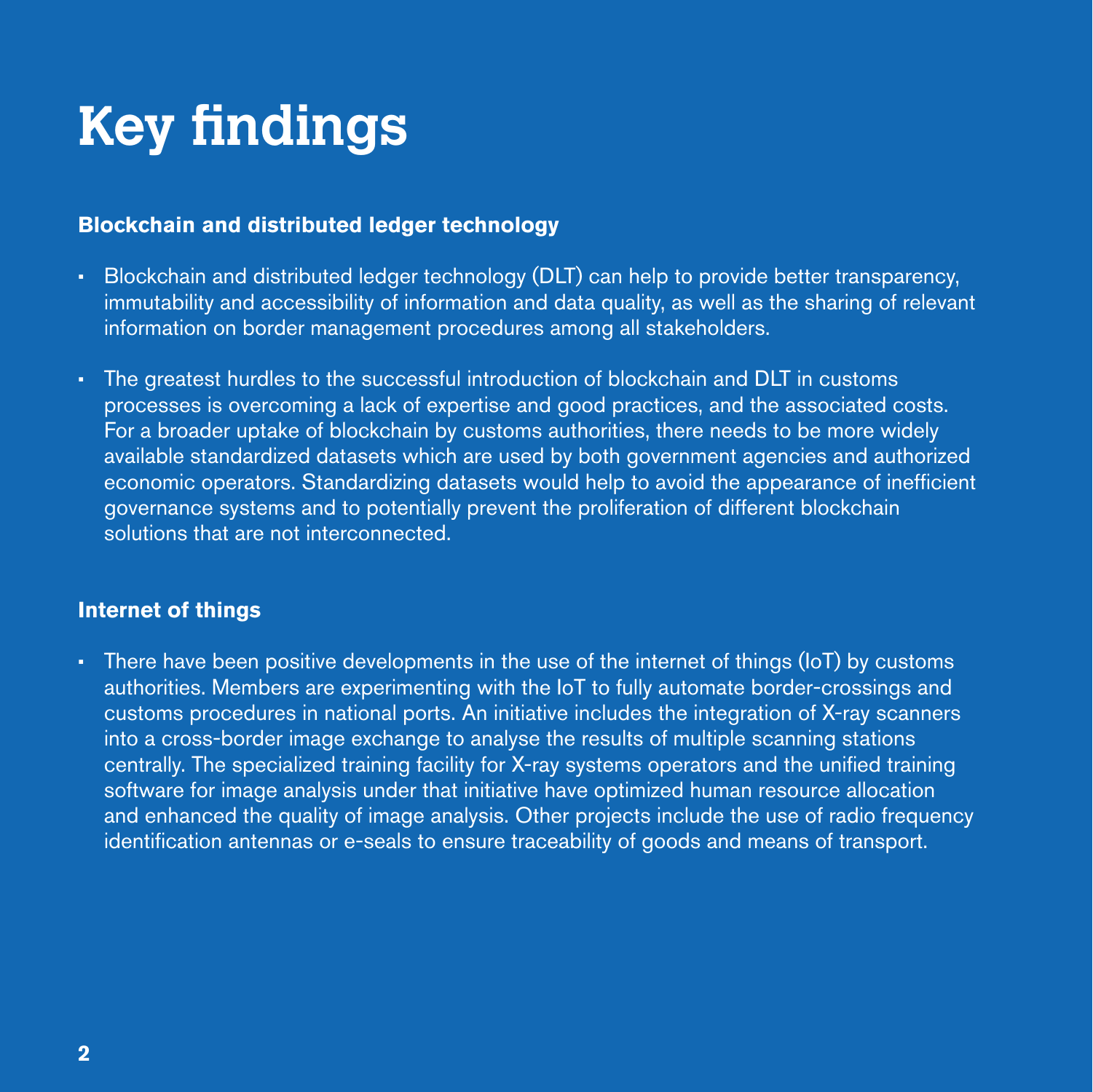## **Key findings**

## **Blockchain and distributed ledger technology**

- Blockchain and distributed ledger technology (DLT) can help to provide better transparency, immutability and accessibility of information and data quality, as well as the sharing of relevant information on border management procedures among all stakeholders.
- The greatest hurdles to the successful introduction of blockchain and DLT in customs processes is overcoming a lack of expertise and good practices, and the associated costs. For a broader uptake of blockchain by customs authorities, there needs to be more widely available standardized datasets which are used by both government agencies and authorized economic operators. Standardizing datasets would help to avoid the appearance of inefficient governance systems and to potentially prevent the proliferation of different blockchain solutions that are not interconnected.

## **Internet of things**

• There have been positive developments in the use of the internet of things (IoT) by customs authorities. Members are experimenting with the IoT to fully automate border-crossings and customs procedures in national ports. An initiative includes the integration of X-ray scanners into a cross-border image exchange to analyse the results of multiple scanning stations centrally. The specialized training facility for X-ray systems operators and the unified training software for image analysis under that initiative have optimized human resource allocation and enhanced the quality of image analysis. Other projects include the use of radio frequency identification antennas or e-seals to ensure traceability of goods and means of transport.